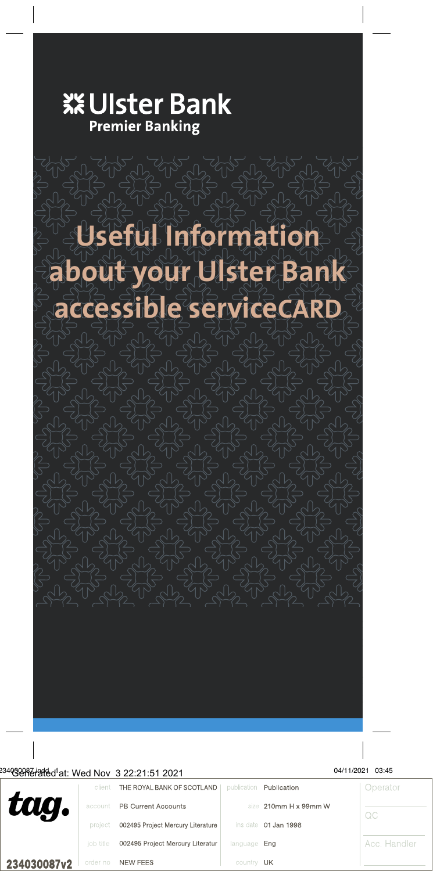

# **Useful Information about your Ulster Bank**

**accessible serviceCARD**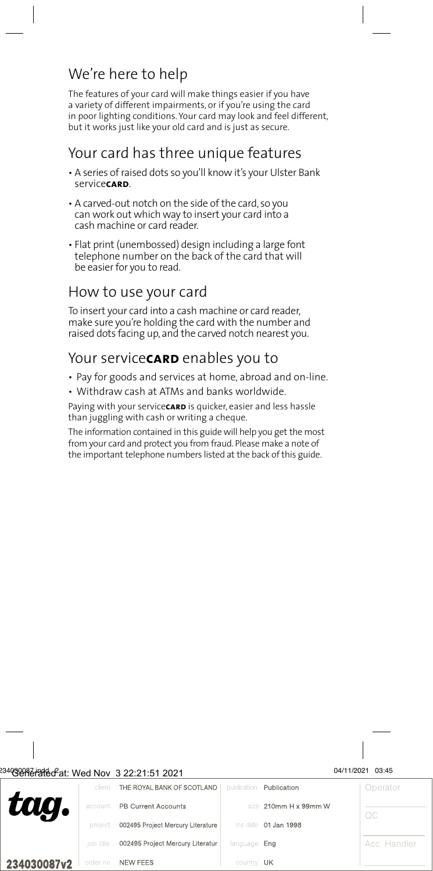# We're here to help

The features of your card will make things easier if you have a variety of different impairments, or if you're using the card in poor lighting conditions. Your card may look and feel different, but it works just like your old card and is just as secure.

#### Your card has three unique features

- A series of raised dots so you'll know it's your Ulster Bank service**card**.
- A carved-out notch on the side of the card, so you can work out which way to insert your card into a cash machine or card reader.
- Flat print (unembossed) design including a large font telephone number on the back of the card that will be easier for you to read.

# How to use your card

To insert your card into a cash machine or card reader, make sure you're holding the card with the number and raised dots facing up, and the carved notch nearest you.

#### Your service**carp** enables you to

- Pay for goods and services at home, abroad and on-line.
- Withdraw cash at ATMs and banks worldwide.

Paying with your servicecaro is quicker, easier and less hassle than juggling with cash or writing a cheque.

The information contained in this guide will help you get the most from your card and protect you from fraud. Please make a note of the important telephone numbers listed at the back of this guide.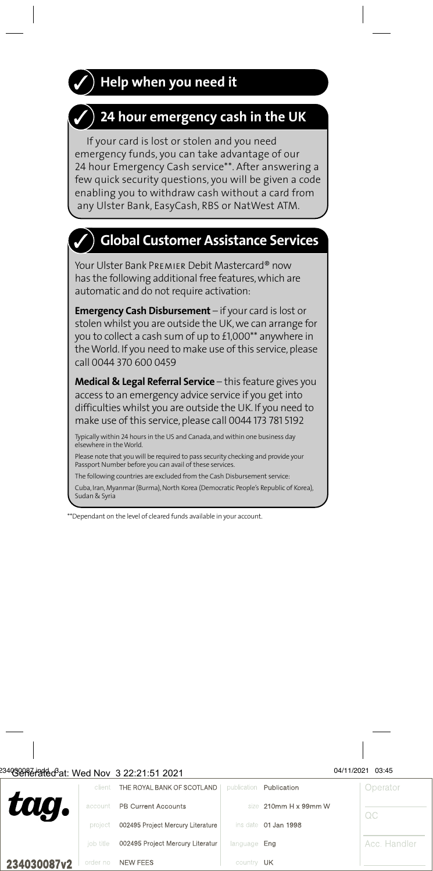# $\check{ }$   $\,$  Help when you need it



If your card is lost or stolen and you need emergency funds, you can take advantage of our 24 hour Emergency Cash service\*\*. After answering a few quick security questions, you will be given a code enabling you to withdraw cash without a card from any Ulster Bank, EasyCash, RBS or NatWest ATM.

# **Global Customer Assistance Services**

Your Ulster Bank Premier Debit Mastercard® now has the following additional free features, which are automatic and do not require activation:

**Emergency Cash Disbursement** – if your card is lost or stolen whilst you are outside the UK, we can arrange for you to collect a cash sum of up to £1,000\*\* anywhere in the World. If you need to make use of this service, please call 0044 370 600 0459

**Medical & Legal Referral Service** – this feature gives you access to an emergency advice service if you get into difficulties whilst you are outside the UK. If you need to make use of this service, please call 0044 173 781 5192

Typically within 24 hours in the US and Canada, and within one business day elsewhere in the World.

Please note that you will be required to pass security checking and provide your Passport Number before you can avail of these services.

The following countries are excluded from the Cash Disbursement service:

Cuba, Iran, Myanmar (Burma), North Korea (Democratic People's Republic of Korea), Sudan & Syria

\*\*Dependant on the level of cleared funds available in your account.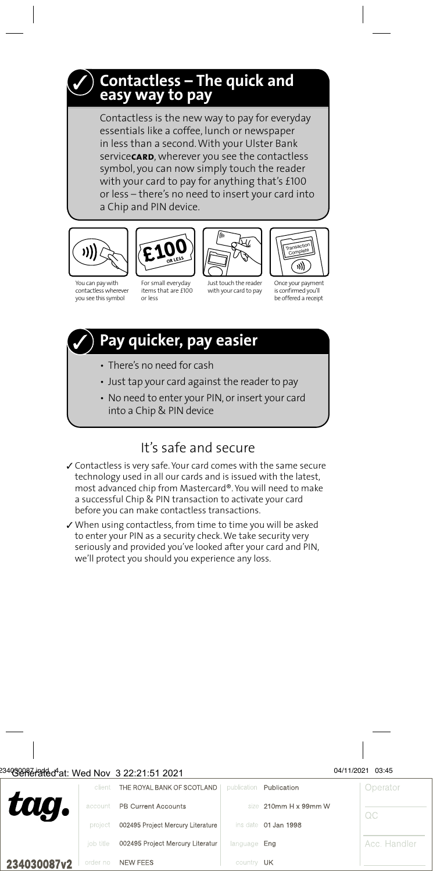#### **Contactless – The quick and easy way to pay**

or less – there's no need to insert your card into Contactless is the new way to pay for everyday essentials like a coffee, lunch or newspaper in less than a second. With your Ulster Bank service**card**, wherever you see the contactless symbol, you can now simply touch the <mark>reader</mark><br>with your card to pay for anything that's £100 with your card to pay for anything that's £100 where a Chip and PIN device.



You can pay with contactless wherever you see this symbol



For small everyday items that are £100 or less



Just touch the reader with your card to pay



Once your payment is confirmed you'll be offered a receipt

# **Pay quicker, pay easier**

- There's no need for cash
- Just tap your card against the reader to pay
- No need to enter your PIN, or insert your card into a Chip & PIN device

#### It's safe and secure

- ✓ Contactless is very safe. Your card comes with the same secure technology used in all our cards and is issued with the latest, most advanced chip from Mastercard®. You will need to make a successful Chip & PIN transaction to activate your card before you can make contactless transactions.
- ✓ When using contactless, from time to time you will be asked to enter your PIN as a security check. We take security very seriously and provided you've looked after your card and PIN, we'll protect you should you experience any loss.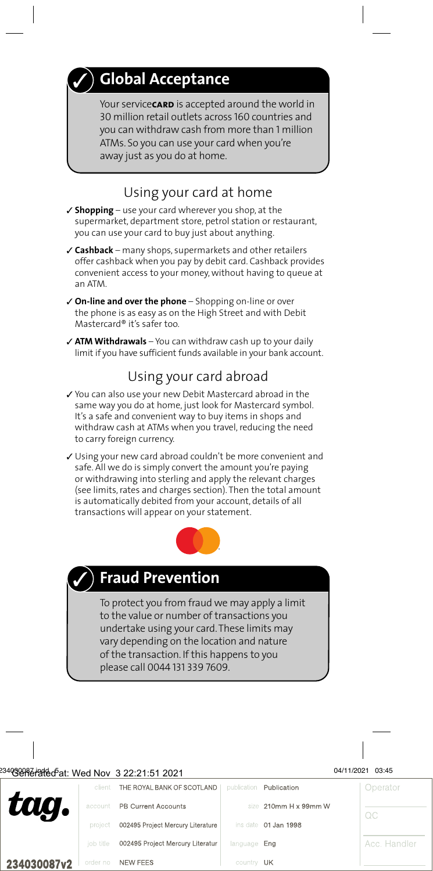# **Global Acceptance**

Your servicecarp is accepted around the world in 30 million retail outlets across 160 countries and you can withdraw cash from more than 1 million ATMs. So you can use your card when you're away just as you do at home.

#### Using your card at home

- ✓ **Shopping** use your card wherever you shop, at the supermarket, department store, petrol station or restaurant, you can use your card to buy just about anything.
- ✓ **Cashback** many shops, supermarkets and other retailers offer cashback when you pay by debit card. Cashback provides convenient access to your money, without having to queue at an ATM.
- ✓ **On-line and over the phone** Shopping on-line or over the phone is as easy as on the High Street and with Debit Mastercard® it's safer too.
- ✓ **ATM Withdrawals** You can withdraw cash up to your daily limit if you have sufficient funds available in your bank account.

#### Using your card abroad

- ✓ You can also use your new Debit Mastercard abroad in the same way you do at home, just look for Mastercard symbol. It's a safe and convenient way to buy items in shops and withdraw cash at ATMs when you travel, reducing the need to carry foreign currency.
- ✓ Using your new card abroad couldn't be more convenient and safe. All we do is simply convert the amount you're paying or withdrawing into sterling and apply the relevant charges (see limits, rates and charges section). Then the total amount is automatically debited from your account, details of all transactions will appear on your statement.





# **Fraud Prevention**

To protect you from fraud we may apply a limit to the value or number of transactions you undertake using your card. These limits may vary depending on the location and nature of the transaction. If this happens to you please call 0044 131 339 7609.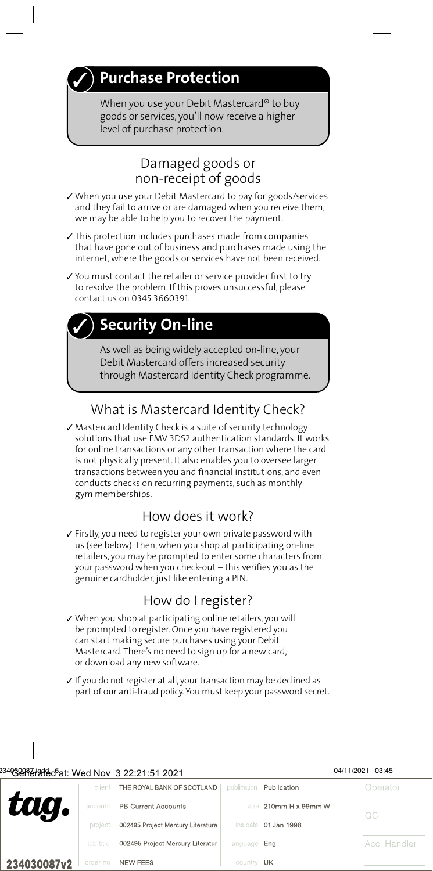# **Purchase Protection**

When you use your Debit Mastercard® to buy goods or services, you'll now receive a higher level of purchase protection.

#### Damaged goods or non-receipt of goods

- ✓ When you use your Debit Mastercard to pay for goods/services and they fail to arrive or are damaged when you receive them, we may be able to help you to recover the payment.
- ✓ This protection includes purchases made from companies that have gone out of business and purchases made using the internet, where the goods or services have not been received.
- ✓ You must contact the retailer or service provider first to try to resolve the problem. If this proves unsuccessful, please contact us on 0345 3660391.

# **Security On-line**

As well as being widely accepted on-line, your Debit Mastercard offers increased security through Mastercard Identity Check programme.

### What is Mastercard Identity Check?

✓ Mastercard Identity Check is a suite of security technology solutions that use EMV 3DS2 authentication standards. It works for online transactions or any other transaction where the card is not physically present. It also enables you to oversee larger transactions between you and financial institutions, and even conducts checks on recurring payments, such as monthly gym memberships.

### How does it work?

✓ Firstly, you need to register your own private password with us (see below). Then, when you shop at participating on-line retailers, you may be prompted to enter some characters from your password when you check-out – this verifies you as the genuine cardholder, just like entering a PIN.

#### How do I register?

- ✓ When you shop at participating online retailers, you will be prompted to register. Once you have registered you can start making secure purchases using your Debit Mastercard. There's no need to sign up for a new card, or download any new software.
- ✓ If you do not register at all, your transaction may be declined as part of our anti-fraud policy. You must keep your password secret.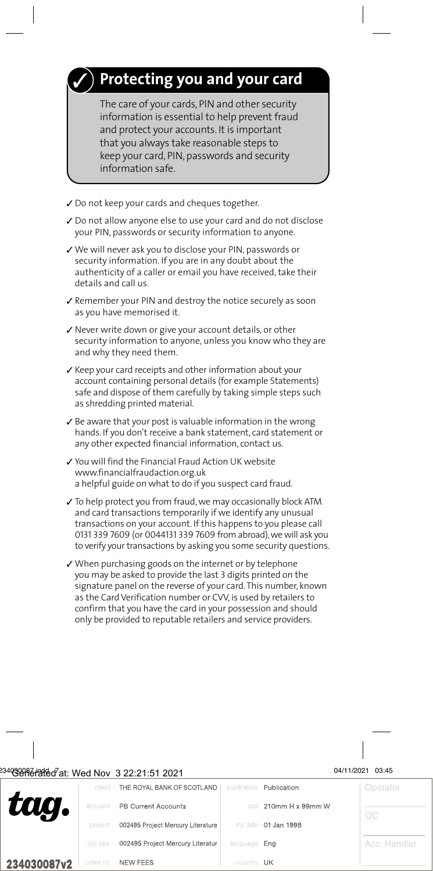# **Protecting you and your card**

The care of your cards, PIN and other security information is essential to help prevent fraud and protect your accounts. It is important that you always take reasonable steps to keep your card, PIN, passwords and security information safe.

- ✓ Do not keep your cards and cheques together.
- ✓ Do not allow anyone else to use your card and do not disclose your PIN, passwords or security information to anyone.
- ✓ We will never ask you to disclose your PIN, passwords or security information. If you are in any doubt about the authenticity of a caller or email you have received, take their details and call us.
- ✓ Remember your PIN and destroy the notice securely as soon as you have memorised it.
- ✓ Never write down or give your account details, or other security information to anyone, unless you know who they are and why they need them.
- ✓ Keep your card receipts and other information about your account containing personal details (for example Statements) safe and dispose of them carefully by taking simple steps such as shredding printed material.
- $\checkmark$  Be aware that your post is valuable information in the wrong hands. If you don't receive a bank statement, card statement or any other expected financial information, contact us.
- ✓ You will find the Financial Fraud Action UK website www.financialfraudaction.org.uk a helpful guide on what to do if you suspect card fraud.
- ✓ To help protect you from fraud, we may occasionally block ATM and card transactions temporarily if we identify any unusual transactions on your account. If this happens to you please call 0131 339 7609 (or 0044131 339 7609 from abroad), we will ask you to verify your transactions by asking you some security questions.
- ✓ When purchasing goods on the internet or by telephone you may be asked to provide the last 3 digits printed on the signature panel on the reverse of your card. This number, known as the Card Verification number or CVV, is used by retailers to confirm that you have the card in your possession and should only be provided to reputable retailers and service providers.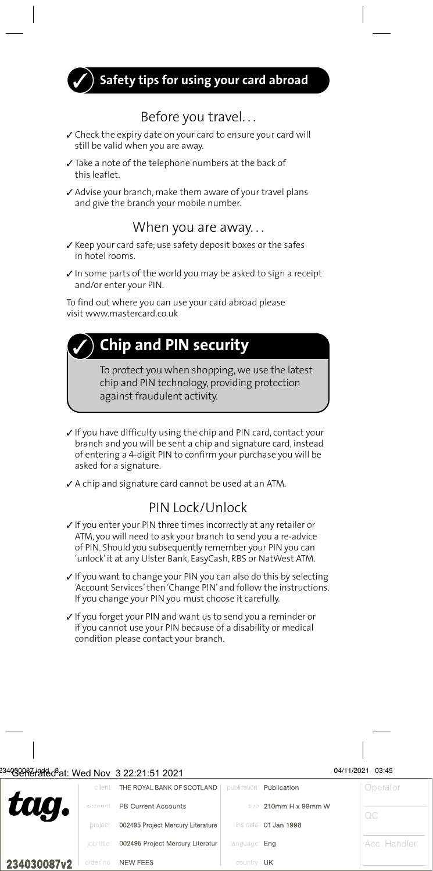**Safety tips for using your card abroad**

#### Before you travel. . .

- ✓ Check the expiry date on your card to ensure your card will still be valid when you are away.
- ✓ Take a note of the telephone numbers at the back of this leaflet.
- ✓ Advise your branch, make them aware of your travel plans and give the branch your mobile number.

#### When you are away. . .

- ✓ Keep your card safe; use safety deposit boxes or the safes in hotel rooms.
- ✓ In some parts of the world you may be asked to sign a receipt and/or enter your PIN.

To find out where you can use your card abroad please visit www.mastercard.co.uk

# **Chip and PIN security**

To protect you when shopping, we use the latest chip and PIN technology, providing protection against fraudulent activity.

- ✓ If you have difficulty using the chip and PIN card, contact your branch and you will be sent a chip and signature card, instead of entering a 4-digit PIN to confirm your purchase you will be asked for a signature.
- ✓ A chip and signature card cannot be used at an ATM.

#### PIN Lock/Unlock

- ✓ If you enter your PIN three times incorrectly at any retailer or ATM, you will need to ask your branch to send you a re-advice of PIN. Should you subsequently remember your PIN you can 'unlock' it at any Ulster Bank, EasyCash, RBS or NatWest ATM.
- ✓ If you want to change your PIN you can also do this by selecting 'Account Services' then 'Change PIN' and follow the instructions. If you change your PIN you must choose it carefully.
- ✓ If you forget your PIN and want us to send you a reminder or if you cannot use your PIN because of a disability or medical condition please contact your branch.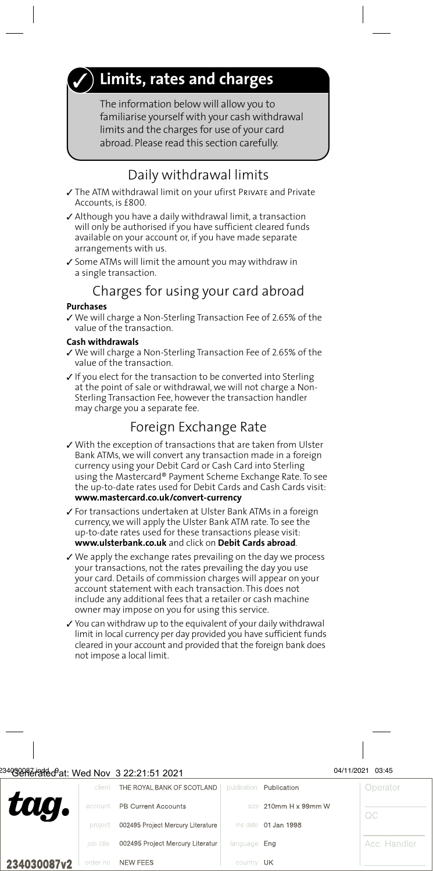# **Limits, rates and charges**

The information below will allow you to familiarise yourself with your cash withdrawal limits and the charges for use of your card abroad. Please read this section carefully.

#### Daily withdrawal limits

- ✓ The ATM withdrawal limit on your ufirst Private and Private Accounts, is £800.
- ✓ Although you have a daily withdrawal limit, a transaction will only be authorised if you have sufficient cleared funds available on your account or, if you have made separate arrangements with us.
- ✓ Some ATMs will limit the amount you may withdraw in a single transaction.

### Charges for using your card abroad

#### **Purchases**

✓ We will charge a Non-Sterling Transaction Fee of 2.65% of the value of the transaction.

#### **Cash withdrawals**

- ✓ We will charge a Non-Sterling Transaction Fee of 2.65% of the value of the transaction.
- ✓ If you elect for the transaction to be converted into Sterling at the point of sale or withdrawal, we will not charge a Non-Sterling Transaction Fee, however the transaction handler may charge you a separate fee.

#### Foreign Exchange Rate

- ✓ With the exception of transactions that are taken from Ulster Bank ATMs, we will convert any transaction made in a foreign currency using your Debit Card or Cash Card into Sterling using the Mastercard® Payment Scheme Exchange Rate. To see the up-to-date rates used for Debit Cards and Cash Cards visit: **www.mastercard.co.uk/convert-currency**
- ✓ For transactions undertaken at Ulster Bank ATMs in a foreign currency, we will apply the Ulster Bank ATM rate. To see the up-to-date rates used for these transactions please visit: **www.ulsterbank.co.uk** and click on **Debit Cards abroad**.
- ✓ We apply the exchange rates prevailing on the day we process your transactions, not the rates prevailing the day you use your card. Details of commission charges will appear on your account statement with each transaction. This does not include any additional fees that a retailer or cash machine owner may impose on you for using this service.
- ✓ You can withdraw up to the equivalent of your daily withdrawal limit in local currency per day provided you have sufficient funds cleared in your account and provided that the foreign bank does not impose a local limit.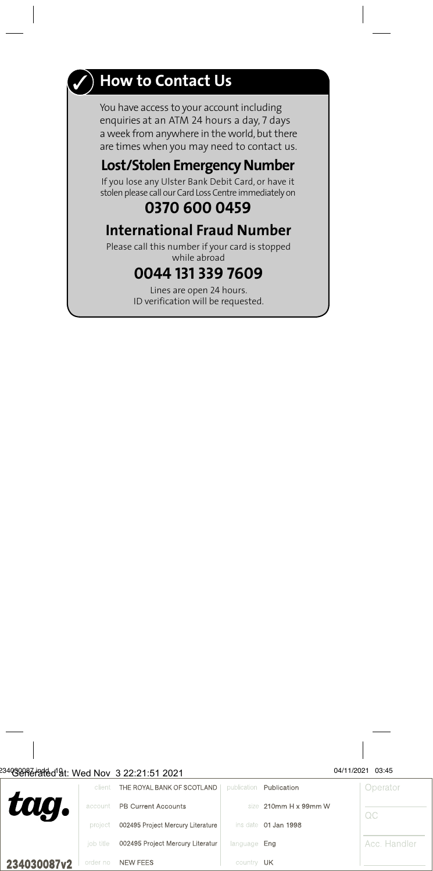

# **How to Contact Us**

You have access to your account including enquiries at an ATM 24 hours a day, 7 days a week from anywhere in the world, but there are times when you may need to contact us.

### **Lost/Stolen Emergency Number**

If you lose any Ulster Bank Debit Card, or have it stolen please call our Card Loss Centre immediately on

#### **0370 600 0459**

#### **International Fraud Number**

Please call this number if your card is stopped while abroad

#### **0044 131 339 7609**

Lines are open 24 hours. ID verification will be requested.